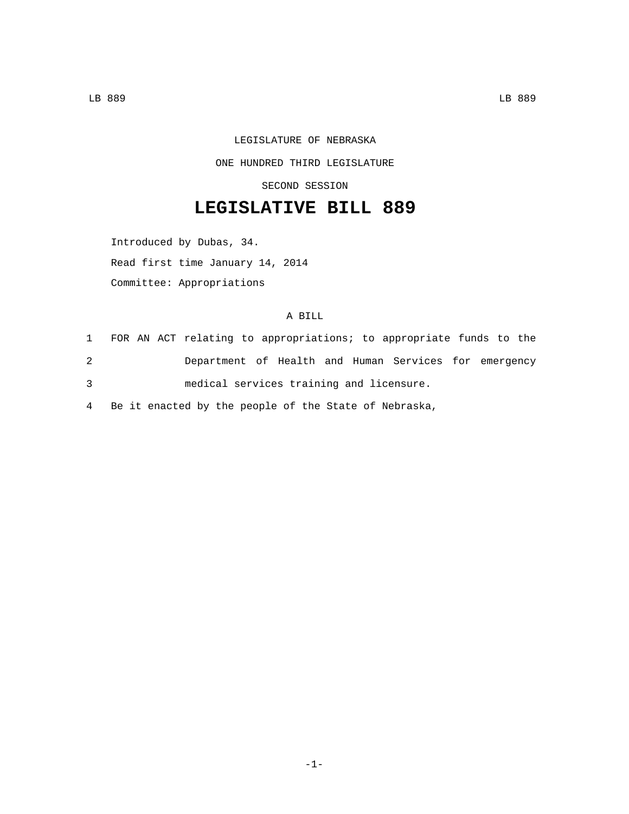## LEGISLATURE OF NEBRASKA ONE HUNDRED THIRD LEGISLATURE

SECOND SESSION

## **LEGISLATIVE BILL 889**

Introduced by Dubas, 34.

Read first time January 14, 2014

Committee: Appropriations

## A BILL

|   |  | 1 FOR AN ACT relating to appropriations; to appropriate funds to the |  |  |                                                       |  |  |
|---|--|----------------------------------------------------------------------|--|--|-------------------------------------------------------|--|--|
| 2 |  |                                                                      |  |  | Department of Health and Human Services for emergency |  |  |
| 3 |  | medical services training and licensure.                             |  |  |                                                       |  |  |

4 Be it enacted by the people of the State of Nebraska,